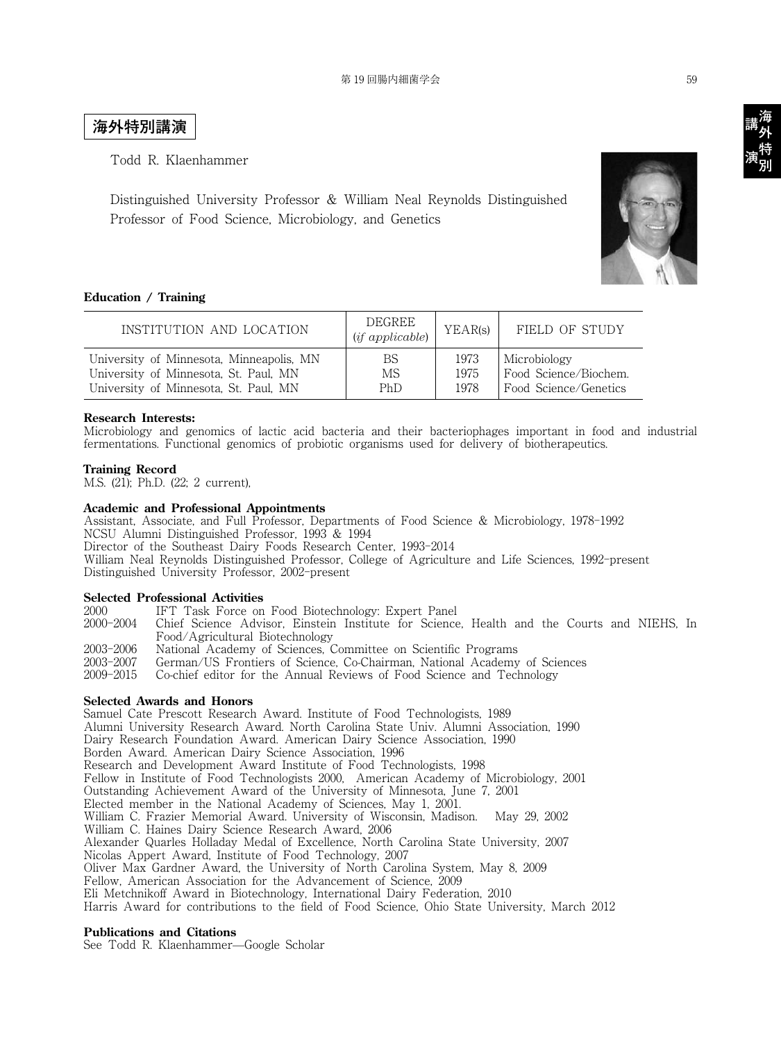## **海外特別講演**

Todd R. Klaenhammer

Distinguished University Professor & William Neal Reynolds Distinguished Professor of Food Science, Microbiology, and Genetics

#### **Education / Training**

| INSTITUTION AND LOCATION                 | DEGREE<br>$(if\ applicable)$ | YEAR(s) | FIELD OF STUDY        |
|------------------------------------------|------------------------------|---------|-----------------------|
| University of Minnesota, Minneapolis, MN | BS                           | 1973    | Microbiology          |
| University of Minnesota, St. Paul, MN    | MS                           | 1975    | Food Science/Biochem. |
| University of Minnesota, St. Paul, MN    | PhD                          | 1978    | Food Science/Genetics |

#### **Research Interests:**

Microbiology and genomics of lactic acid bacteria and their bacteriophages important in food and industrial fermentations. Functional genomics of probiotic organisms used for delivery of biotherapeutics.

#### **Training Record**

M.S. (21); Ph.D. (22; 2 current),

#### **Academic and Professional Appointments**

Assistant, Associate, and Full Professor, Departments of Food Science & Microbiology, 1978-1992 NCSU Alumni Distinguished Professor, 1993 & 1994 Director of the Southeast Dairy Foods Research Center, 1993-2014 William Neal Reynolds Distinguished Professor, College of Agriculture and Life Sciences, 1992-present Distinguished University Professor, 2002-present

# **Selected Professional Activities**<br>2000 **IFT Task Force on**

IFT Task Force on Food Biotechnology: Expert Panel

- 2000-2004 Chief Science Advisor, Einstein Institute for Science, Health and the Courts and NIEHS, In Food/Agricultural Biotechnology
- 2003-2006 National Academy of Sciences, Committee on Scientific Programs
- 2003-2007 German/US Frontiers of Science, Co-Chairman, National Academy of Sciences

2009-2015 Co-chief editor for the Annual Reviews of Food Science and Technology

#### **Selected Awards and Honors**

Samuel Cate Prescott Research Award. Institute of Food Technologists, 1989 Alumni University Research Award. North Carolina State Univ. Alumni Association, 1990 Dairy Research Foundation Award. American Dairy Science Association, 1990 Borden Award. American Dairy Science Association, 1996 Research and Development Award Institute of Food Technologists, 1998 Fellow in Institute of Food Technologists 2000, American Academy of Microbiology, 2001 Outstanding Achievement Award of the University of Minnesota, June 7, 2001 Elected member in the National Academy of Sciences, May 1, 2001. William C. Frazier Memorial Award. University of Wisconsin, Madison. May 29, 2002 William C. Haines Dairy Science Research Award, 2006 Alexander Quarles Holladay Medal of Excellence, North Carolina State University, 2007 Nicolas Appert Award, Institute of Food Technology, 2007 Oliver Max Gardner Award, the University of North Carolina System, May 8, 2009 Fellow, American Association for the Advancement of Science, 2009 Eli Metchnikoff Award in Biotechnology, International Dairy Federation, 2010 Harris Award for contributions to the field of Food Science, Ohio State University, March 2012

#### **Publications and Citations**

See Todd R. Klaenhammer—Google Scholar



講<br>演